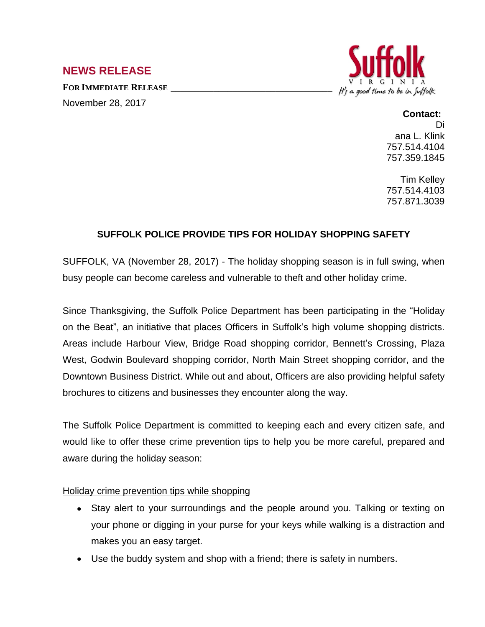# **NEWS RELEASE**

**FOR IMMEDIATE RELEASE \_\_\_\_\_\_\_\_\_\_\_\_\_\_\_\_\_\_\_\_\_\_\_\_\_\_\_\_\_\_\_\_\_\_** November 28, 2017



### **Contact:** Di ana L. Klink 757.514.4104 757.359.1845

Tim Kelley 757.514.4103 757.871.3039

# **SUFFOLK POLICE PROVIDE TIPS FOR HOLIDAY SHOPPING SAFETY**

SUFFOLK, VA (November 28, 2017) - The holiday shopping season is in full swing, when busy people can become careless and vulnerable to theft and other holiday crime.

Since Thanksgiving, the Suffolk Police Department has been participating in the "Holiday on the Beat", an initiative that places Officers in Suffolk's high volume shopping districts. Areas include Harbour View, Bridge Road shopping corridor, Bennett's Crossing, Plaza West, Godwin Boulevard shopping corridor, North Main Street shopping corridor, and the Downtown Business District. While out and about, Officers are also providing helpful safety brochures to citizens and businesses they encounter along the way.

The Suffolk Police Department is committed to keeping each and every citizen safe, and would like to offer these crime prevention tips to help you be more careful, prepared and aware during the holiday season:

#### Holiday crime prevention tips while shopping

- Stay alert to your surroundings and the people around you. Talking or texting on your phone or digging in your purse for your keys while walking is a distraction and makes you an easy target.
- Use the buddy system and shop with a friend; there is safety in numbers.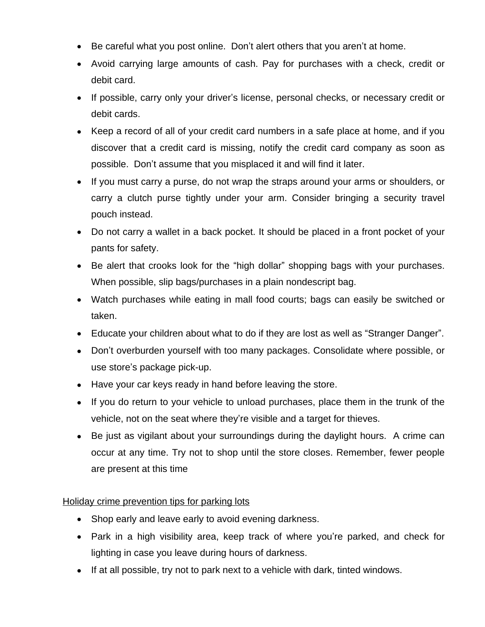- Be careful what you post online. Don't alert others that you aren't at home.
- Avoid carrying large amounts of cash. Pay for purchases with a check, credit or debit card.
- If possible, carry only your driver's license, personal checks, or necessary credit or debit cards.
- Keep a record of all of your credit card numbers in a safe place at home, and if you discover that a credit card is missing, notify the credit card company as soon as possible. Don't assume that you misplaced it and will find it later.
- If you must carry a purse, do not wrap the straps around your arms or shoulders, or carry a clutch purse tightly under your arm. Consider bringing a security travel pouch instead.
- Do not carry a wallet in a back pocket. It should be placed in a front pocket of your pants for safety.
- Be alert that crooks look for the "high dollar" shopping bags with your purchases. When possible, slip bags/purchases in a plain nondescript bag.
- Watch purchases while eating in mall food courts; bags can easily be switched or taken.
- Educate your children about what to do if they are lost as well as "Stranger Danger".
- Don't overburden yourself with too many packages. Consolidate where possible, or use store's package pick-up.
- Have your car keys ready in hand before leaving the store.
- If you do return to your vehicle to unload purchases, place them in the trunk of the vehicle, not on the seat where they're visible and a target for thieves.
- Be just as vigilant about your surroundings during the daylight hours. A crime can occur at any time. Try not to shop until the store closes. Remember, fewer people are present at this time

## Holiday crime prevention tips for parking lots

- Shop early and leave early to avoid evening darkness.
- Park in a high visibility area, keep track of where you're parked, and check for lighting in case you leave during hours of darkness.
- If at all possible, try not to park next to a vehicle with dark, tinted windows.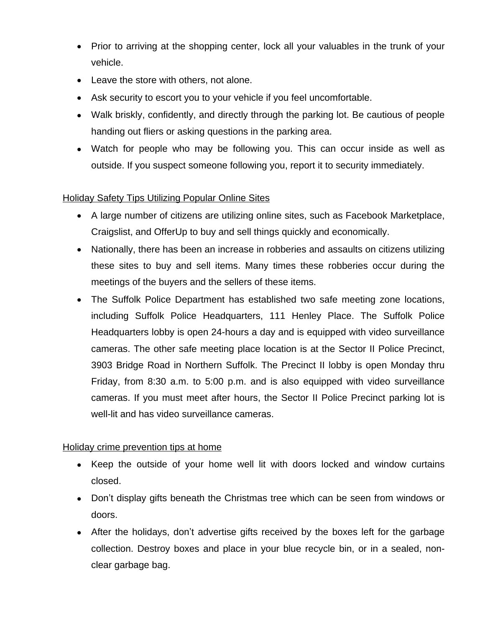- Prior to arriving at the shopping center, lock all your valuables in the trunk of your vehicle.
- Leave the store with others, not alone.
- Ask security to escort you to your vehicle if you feel uncomfortable.
- Walk briskly, confidently, and directly through the parking lot. Be cautious of people handing out fliers or asking questions in the parking area.
- Watch for people who may be following you. This can occur inside as well as outside. If you suspect someone following you, report it to security immediately.

# Holiday Safety Tips Utilizing Popular Online Sites

- A large number of citizens are utilizing online sites, such as Facebook Marketplace, Craigslist, and OfferUp to buy and sell things quickly and economically.
- Nationally, there has been an increase in robberies and assaults on citizens utilizing these sites to buy and sell items. Many times these robberies occur during the meetings of the buyers and the sellers of these items.
- The Suffolk Police Department has established two safe meeting zone locations, including Suffolk Police Headquarters, 111 Henley Place. The Suffolk Police Headquarters lobby is open 24-hours a day and is equipped with video surveillance cameras. The other safe meeting place location is at the Sector II Police Precinct, 3903 Bridge Road in Northern Suffolk. The Precinct II lobby is open Monday thru Friday, from 8:30 a.m. to 5:00 p.m. and is also equipped with video surveillance cameras. If you must meet after hours, the Sector II Police Precinct parking lot is well-lit and has video surveillance cameras.

## Holiday crime prevention tips at home

- Keep the outside of your home well lit with doors locked and window curtains closed.
- Don't display gifts beneath the Christmas tree which can be seen from windows or doors.
- After the holidays, don't advertise gifts received by the boxes left for the garbage collection. Destroy boxes and place in your blue recycle bin, or in a sealed, nonclear garbage bag.